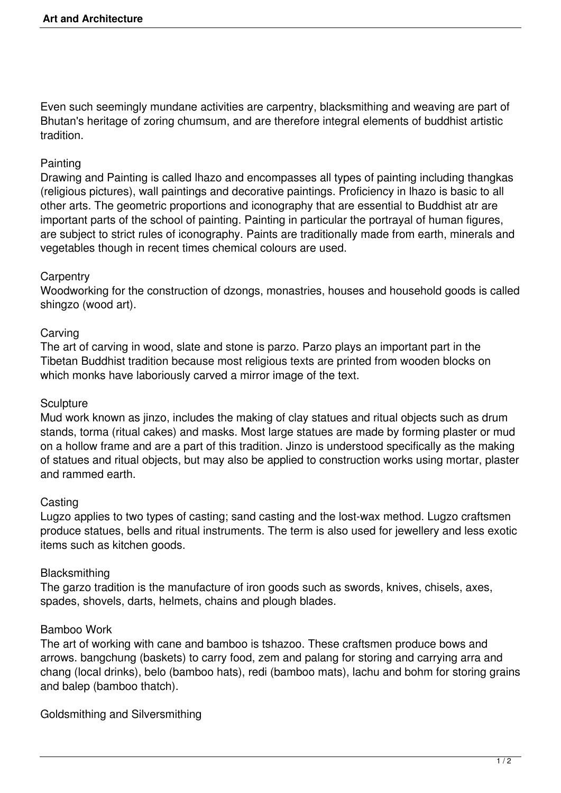Even such seemingly mundane activities are carpentry, blacksmithing and weaving are part of Bhutan's heritage of zoring chumsum, and are therefore integral elements of buddhist artistic tradition.

# **Painting**

Drawing and Painting is called lhazo and encompasses all types of painting including thangkas (religious pictures), wall paintings and decorative paintings. Proficiency in lhazo is basic to all other arts. The geometric proportions and iconography that are essential to Buddhist atr are important parts of the school of painting. Painting in particular the portrayal of human figures, are subject to strict rules of iconography. Paints are traditionally made from earth, minerals and vegetables though in recent times chemical colours are used.

# **Carpentry**

Woodworking for the construction of dzongs, monastries, houses and household goods is called shingzo (wood art).

# **Carving**

The art of carving in wood, slate and stone is parzo. Parzo plays an important part in the Tibetan Buddhist tradition because most religious texts are printed from wooden blocks on which monks have laboriously carved a mirror image of the text.

# **Sculpture**

Mud work known as jinzo, includes the making of clay statues and ritual objects such as drum stands, torma (ritual cakes) and masks. Most large statues are made by forming plaster or mud on a hollow frame and are a part of this tradition. Jinzo is understood specifically as the making of statues and ritual objects, but may also be applied to construction works using mortar, plaster and rammed earth.

# **Casting**

Lugzo applies to two types of casting; sand casting and the lost-wax method. Lugzo craftsmen produce statues, bells and ritual instruments. The term is also used for jewellery and less exotic items such as kitchen goods.

### **Blacksmithing**

The garzo tradition is the manufacture of iron goods such as swords, knives, chisels, axes, spades, shovels, darts, helmets, chains and plough blades.

### Bamboo Work

The art of working with cane and bamboo is tshazoo. These craftsmen produce bows and arrows. bangchung (baskets) to carry food, zem and palang for storing and carrying arra and chang (local drinks), belo (bamboo hats), redi (bamboo mats), lachu and bohm for storing grains and balep (bamboo thatch).

Goldsmithing and Silversmithing